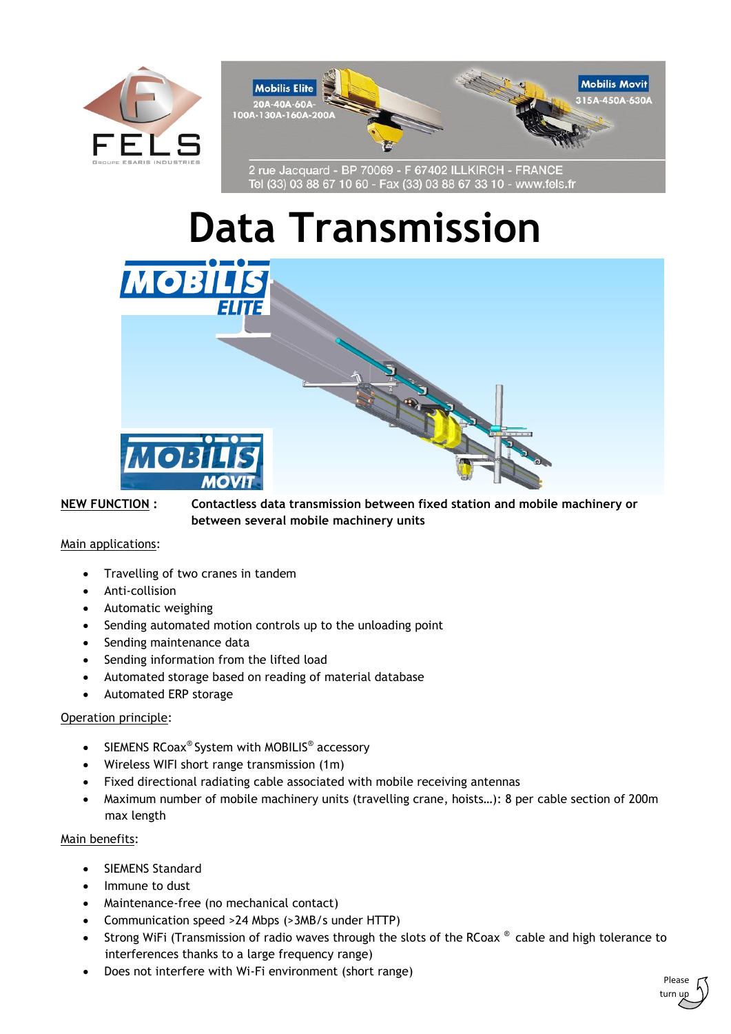



2 rue Jacquard - BP 70069 - F 67402 ILLKIRCH - FRANCE<br>Tel (33) 03 88 67 10 60 - Fax (33) 03 88 67 33 10 - www.fels.fr

# **Data Transmission**



**NEW FUNCTION : Contactless data transmission between fixed station and mobile machinery or between several mobile machinery units**

### Main applications:

- Travelling of two cranes in tandem
- Anti-collision
- Automatic weighing
- Sending automated motion controls up to the unloading point
- Sending maintenance data
- Sending information from the lifted load
- Automated storage based on reading of material database
- Automated ERP storage

# Operation principle:

- SIEMENS RCoax® System with MOBILIS® accessory
- Wireless WIFI short range transmission (1m)
- Fixed directional radiating cable associated with mobile receiving antennas
- Maximum number of mobile machinery units (travelling crane, hoists…): 8 per cable section of 200m max length

#### Main benefits:

- SIEMENS Standard
- Immune to dust
- Maintenance-free (no mechanical contact)
- Communication speed >24 Mbps (>3MB/s under HTTP)
- Strong WiFi (Transmission of radio waves through the slots of the RCoax ® cable and high tolerance to interferences thanks to a large frequency range)
- Does not interfere with Wi-Fi environment (short range)